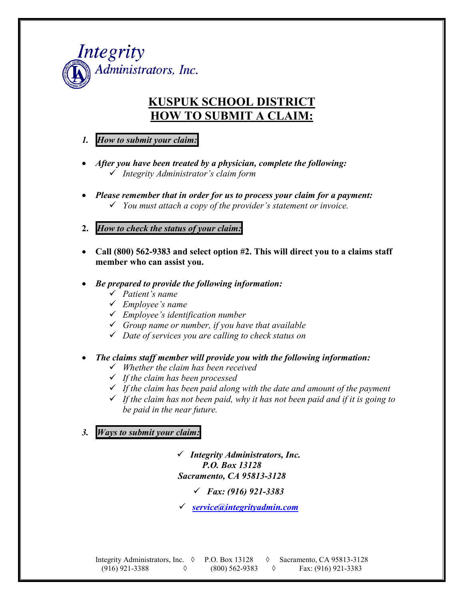

# **KUSPUK SCHOOL DISTRICT HOW TO SUBMIT A CLAIM:**

- *1. How to submit your claim:*
- *After you have been treated by a physician, complete the following: Integrity Administrator's claim form*
- *Please remember that in order for us to process your claim for a payment: You must attach a copy of the provider's statement or invoice.*
- **2.** *How to check the status of your claim:*
- **Call (800) 562-9383 and select option #2. This will direct you to a claims staff member who can assist you.**
- *Be prepared to provide the following information:*
	- *Patient's name*
	- *Employee's name*
	- *Employee's identification number*
	- *Group name or number, if you have that available*
	- *Date of services you are calling to check status on*
- *The claims staff member will provide you with the following information:*
	- *Whether the claim has been received*
	- *If the claim has been processed*
	- *If the claim has been paid along with the date and amount of the payment*
	- *If the claim has not been paid, why it has not been paid and if it is going to be paid in the near future.*

*3. Ways to submit your claim:*

 *Integrity Administrators, Inc. P.O. Box 13128 Sacramento, CA 95813-3128*

*Fax: (916) 921-3383*

*service@integrityadmin.com*